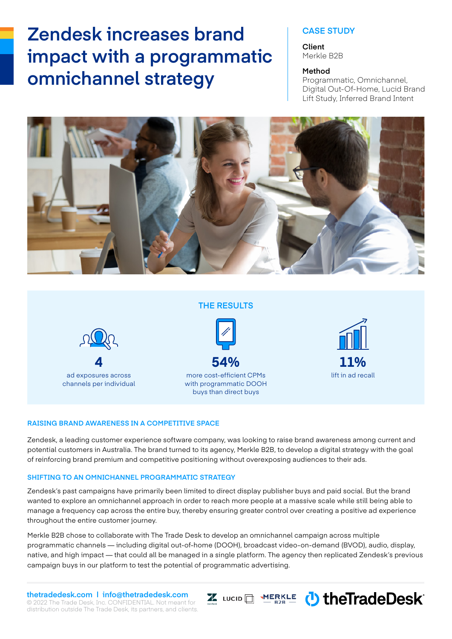# **Zendesk increases brand**  $\qquad$  | CASE STUDY **impact with a programmatic omnichannel strategy** Method

#### **Client** Merkle B2B

Programmatic, Omnichannel, Digital Out-Of-Home, Lucid Brand Lift Study, Inferred Brand Intent



### **THE RESULTS**



ad exposures across lift in ad recall more cost-efficient CPMs with programmatic DOOH buys than direct buys



I LUCID MERKLE ( the Trade Desk<sup>®</sup>

### **RAISING BRAND AWARENESS IN A COMPETITIVE SPACE**

Zendesk, a leading customer experience software company, was looking to raise brand awareness among current and potential customers in Australia. The brand turned to its agency, Merkle B2B, to develop a digital strategy with the goal of reinforcing brand premium and competitive positioning without overexposing audiences to their ads.

#### **SHIFTING TO AN OMNICHANNEL PROGRAMMATIC STRATEGY**

Zendesk's past campaigns have primarily been limited to direct display publisher buys and paid social. But the brand wanted to explore an omnichannel approach in order to reach more people at a massive scale while still being able to manage a frequency cap across the entire buy, thereby ensuring greater control over creating a positive ad experience throughout the entire customer journey.

Merkle B2B chose to collaborate with The Trade Desk to develop an omnichannel campaign across multiple programmatic channels — including digital out-of-home (DOOH), broadcast video-on-demand (BVOD), audio, display, native, and high impact — that could all be managed in a single platform. The agency then replicated Zendesk's previous campaign buys in our platform to test the potential of programmatic advertising.

© 2022 The Trade Desk, Inc. CONFIDENTIAL. Not meant for distribution outside The Trade Desk, its partners, and clients. **thetradedesk.com | info@thetradedesk.com**